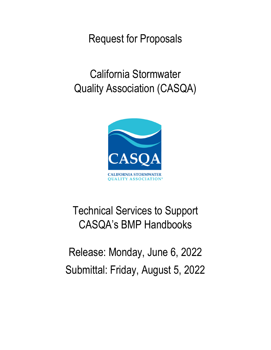Request for Proposals

California Stormwater Quality Association (CASQA)



# Technical Services to Support CASQA's BMP Handbooks

Release: Monday, June 6, 2022 Submittal: Friday, August 5, 2022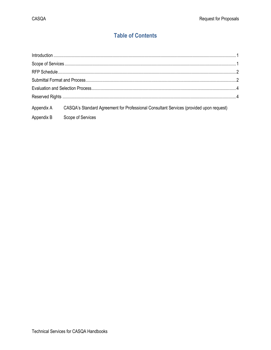# **Table of Contents**

|            | Appendix A CASQA's Standard Agreement for Professional Consultant Services (provided upon request) |  |
|------------|----------------------------------------------------------------------------------------------------|--|
| Appendix B | Scope of Services                                                                                  |  |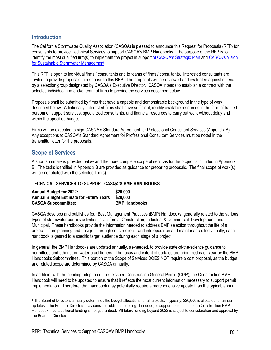## <span id="page-2-0"></span>**Introduction**

The California Stormwater Quality Association (CASQA) is pleased to announce this Request for Proposals (RFP) for consultants to provide Technical Services to support CASQA's BMP Handbooks. The purpose of the RFP is to identify the most qualified firm(s) to implement the project in support of [CASQA's Strategic Plan](https://www.casqa.org/sites/default/files/downloads/final_casqa_strategic_plan_and_organizational_goals_-_04-10-19.pdf) and [CASQA's Vision](https://www.casqa.org/sites/default/files/downloads/final_-_vision_for_sustainable_stormwater_management_-_10-07-2020.pdf) for Sustainable Stormwater Management.

This RFP is open to individual firms / consultants and to teams of firms / consultants. Interested consultants are invited to provide proposals in response to this RFP. The proposals will be reviewed and evaluated against criteria by a selection group designated by CASQA's Executive Director. CASQA intends to establish a contract with the selected individual firm and/or team of firms to provide the services described below.

Proposals shall be submitted by firms that have a capable and demonstrable background in the type of work described below. Additionally, interested firms shall have sufficient, readily available resources in the form of trained personnel, support services, specialized consultants, and financial resources to carry out work without delay and within the specified budget.

Firms will be expected to sign CASQA's Standard Agreement for Professional Consultant Services (Appendix A). Any exceptions to CASQA's Standard Agreement for Professional Consultant Services must be noted in the transmittal letter for the proposals.

# <span id="page-2-1"></span>**Scope of Services**

A short summary is provided below and the more complete scope of services for the project is included in Appendix B. The tasks identified in Appendix B are provided as guidance for preparing proposals. The final scope of work(s) will be negotiated with the selected firm(s).

#### **TECHNICAL SERVICES TO SUPPORT CASQA'S BMP HANDBOOKS**

| <b>Annual Budget for 2022:</b>                 | \$20,000             |
|------------------------------------------------|----------------------|
| <b>Annual Budget Estimate for Future Years</b> | \$20,0001            |
| <b>CASQA Subcommittee:</b>                     | <b>BMP Handbooks</b> |

CASQA develops and publishes four Best Management Practices (BMP) Handbooks, generally related to the various types of stormwater permits activities in California: Construction, Industrial & Commercial, Development, and Municipal. These handbooks provide the information needed to address BMP selection throughout the life of a project – from planning and design – through construction – and into operation and maintenance. Individually, each handbook is geared to a specific target audience during each stage of a project.

In general, the BMP Handbooks are updated annually, as-needed, to provide state-of-the-science guidance to permittees and other stormwater practitioners. The focus and extent of updates are prioritized each year by the BMP Handbooks Subcommittee. This portion of the Scope of Services DOES NOT require a cost proposal, as the budget and related scope are determined by CASQA annually.

In addition, with the pending adoption of the reissued Construction General Permit (CGP), the Construction BMP Handbook will need to be updated to ensure that it reflects the most current information necessary to support permit implementation. Therefore, that handbook may potentially require a more extensive update than the typical, annual

<span id="page-2-2"></span><sup>1</sup> The Board of Directors annually determines the budget allocations for all projects. Typically, \$20,000 is allocated for annual updates. The Board of Directors may consider additional funding, if needed, to support the update to the Construction BMP Handbook – but additional funding is not guaranteed. All future funding beyond 2022 is subject to consideration and approval by the Board of Directors.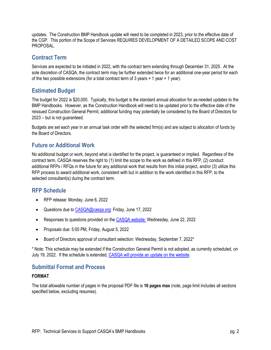updates. The Construction BMP Handbook update will need to be completed in 2023, prior to the effective date of the CGP. This portion of the Scope of Services REQUIRES DEVELOPMENT OF A DETAILED SCOPE AND COST **PROPOSAL** 

### **Contract Term**

Services are expected to be initiated in 2022, with the contract term extending through December 31, 2025. At the sole discretion of CASQA, the contract term may be further extended twice for an additional one-year period for each of the two possible extensions (for a total contract term of 3 years + 1 year + 1 year).

# **Estimated Budget**

The budget for 2022 is \$20,000. Typically, this budget is the standard annual allocation for as-needed updates to the BMP Handbooks. However, as the Construction Handbook will need to be updated prior to the effective date of the reissued Construction General Permit, additional funding may potentially be considered by the Board of Directors for 2023 – but is not guaranteed.

Budgets are set each year in an annual task order with the selected firm(s) and are subject to allocation of funds by the Board of Directors.

# **Future or Additional Work**

No additional budget or work, beyond what is identified for the project, is guaranteed or implied. Regardless of the contract term, CASQA reserves the right to (1) limit the scope to the work as defined in this RFP, (2) conduct additional RFPs / RFQs in the future for any additional work that results from this initial project, and/or (3) utilize this RFP process to award additional work, consistent with but in addition to the work identified in this RFP, to the selected consultant(s) during the contract term.

## <span id="page-3-0"></span>**RFP Schedule**

- RFP release: Monday, June 6, 2022
- Questions due t[o CASQA@casqa.org:](mailto:CASQA@casqa.org) Friday, June 17, 2022
- Responses to questions provided on th[e CASQA website:](https://www.casqa.org/about/rfps-rfqs) Wednesday, June 22, 2022
- Proposals due: 5:00 PM, Friday, August 5, 2022
- Board of Directors approval of consultant selection: Wednesday, September 7, 2022\*

\* Note: This schedule may be extended if the Construction General Permit is not adopted, as currently scheduled, on July 19, 2022. If the schedule is extended[, CASQA will provide an update on the website.](https://www.casqa.org/about/rfps-rfqs)

### <span id="page-3-1"></span>**Submittal Format and Process**

#### **FORMAT**

The total allowable number of pages in the proposal PDF file is **16 pages max** (note, page limit includes all sections specified below, excluding resumes).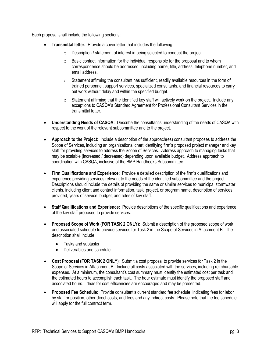Each proposal shall include the following sections:

- **Transmittal letter:** Provide a cover letter that includes the following:
	- $\circ$  Description / statement of interest in being selected to conduct the project.
	- $\circ$  Basic contact information for the individual responsible for the proposal and to whom correspondence should be addressed, including name, title, address, telephone number, and email address.
	- $\circ$  Statement affirming the consultant has sufficient, readily available resources in the form of trained personnel, support services, specialized consultants, and financial resources to carry out work without delay and within the specified budget.
	- $\circ$  Statement affirming that the identified key staff will actively work on the project. Include any exceptions to CASQA's Standard Agreement for Professional Consultant Services in the transmittal letter.
- **Understanding Needs of CASQA:** Describe the consultant's understanding of the needs of CASQA with respect to the work of the relevant subcommittee and to the project.
- **Approach to the Project:** Include a description of the approach(es) consultant proposes to address the Scope of Services, including an organizational chart identifying firm's proposed project manager and key staff for providing services to address the Scope of Services. Address approach to managing tasks that may be scalable (increased / decreased) depending upon available budget. Address approach to coordination with CASQA, inclusive of the BMP Handbooks Subcommittee.
- **Firm Qualifications and Experience:** Provide a detailed description of the firm's qualifications and experience providing services relevant to the needs of the identified subcommittee and the project. Descriptions should include the details of providing the same or similar services to municipal stormwater clients, including client and contact information, task, project, or program name, description of services provided, years of service, budget, and roles of key staff.
- **Staff Qualifications and Experience:** Provide descriptions of the specific qualifications and experience of the key staff proposed to provide services.
- **Proposed Scope of Work (FOR TASK 2 ONLY):** Submit a description of the proposed scope of work and associated schedule to provide services for Task 2 in the Scope of Services in Attachment B. The description shall include:
	- Tasks and subtasks
	- Deliverables and schedule
- **Cost Proposal (FOR TASK 2 ONLY**): Submit a cost proposal to provide services for Task 2 in the Scope of Services in Attachment B. Include all costs associated with the services, including reimbursable expenses. At a minimum, the consultant's cost summary must identify the estimated cost per task and the estimated hours to accomplish each task. The hour estimate must identify the proposed staff and associated hours. Ideas for cost efficiencies are encouraged and may be presented.
- **Proposed Fee Schedule:** Provide consultant's current standard fee schedule, indicating fees for labor by staff or position, other direct costs, and fees and any indirect costs. Please note that the fee schedule will apply for the full contract term.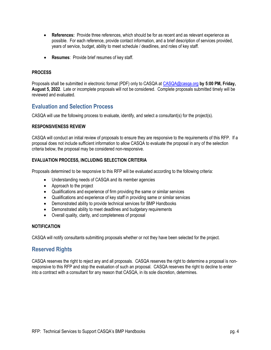- **References:** Provide three references, which should be for as recent and as relevant experience as possible. For each reference, provide contact information, and a brief description of services provided, years of service, budget, ability to meet schedule / deadlines, and roles of key staff.
- **Resumes**: Provide brief resumes of key staff.

#### **PROCESS**

Proposals shall be submitted in electronic format (PDF) only to CASQA at [CASQA@casqa.org](mailto:CASQA@casqa.org) **by 5:00 PM, Friday, August 5, 2022**. Late or incomplete proposals will not be considered. Complete proposals submitted timely will be reviewed and evaluated.

### <span id="page-5-0"></span>**Evaluation and Selection Process**

CASQA will use the following process to evaluate, identify, and select a consultant(s) for the project(s).

#### **RESPONSIVENESS REVIEW**

CASQA will conduct an initial review of proposals to ensure they are responsive to the requirements of this RFP. If a proposal does not include sufficient information to allow CASQA to evaluate the proposal in any of the selection criteria below, the proposal may be considered non-responsive.

#### **EVALUATION PROCESS, INCLUDING SELECTION CRITERIA**

Proposals determined to be responsive to this RFP will be evaluated according to the following criteria:

- Understanding needs of CASQA and its member agencies
- Approach to the project
- Qualifications and experience of firm providing the same or similar services
- Qualifications and experience of key staff in providing same or similar services
- Demonstrated ability to provide technical services for BMP Handbooks
- Demonstrated ability to meet deadlines and budgetary requirements
- Overall quality, clarity, and completeness of proposal

#### **NOTIFICATION**

<span id="page-5-1"></span>CASQA will notify consultants submitting proposals whether or not they have been selected for the project.

#### **Reserved Rights**

CASQA reserves the right to reject any and all proposals. CASQA reserves the right to determine a proposal is nonresponsive to this RFP and stop the evaluation of such an proposal. CASQA reserves the right to decline to enter into a contract with a consultant for any reason that CASQA, in its sole discretion, determines.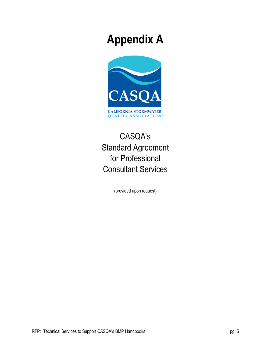# **Appendix A**



# CASQA's Standard Agreement for Professional Consultant Services

(provided upon request)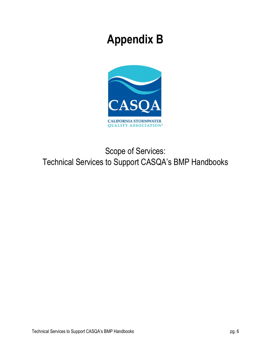# **Appendix B**



# Scope of Services: Technical Services to Support CASQA's BMP Handbooks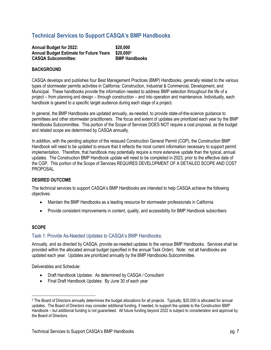# **Technical Services to Support CASQA's BMP Handbooks**

**Annual Budget for 2022: \$20,000 Annual Budget Estimate for Future Years \$20,000[2](#page-8-0) CASQA Subcommittee: BMP Handbooks**

# **BACKGROUND**

CASQA develops and publishes four Best Management Practices (BMP) Handbooks, generally related to the various types of stormwater permits activities in California: Construction, Industrial & Commercial, Development, and Municipal. These handbooks provide the information needed to address BMP selection throughout the life of a project – from planning and design – through construction – and into operation and maintenance. Individually, each handbook is geared to a specific target audience during each stage of a project.

In general, the BMP Handbooks are updated annually, as-needed, to provide state-of-the-science guidance to permittees and other stormwater practitioners. The focus and extent of updates are prioritized each year by the BMP Handbooks Subcommittee. This portion of the Scope of Services DOES NOT require a cost proposal, as the budget and related scope are determined by CASQA annually.

In addition, with the pending adoption of the reissued Construction General Permit (CGP), the Construction BMP Handbook will need to be updated to ensure that it reflects the most current information necessary to support permit implementation. Therefore, that handbook may potentially require a more extensive update than the typical, annual updates. The Construction BMP Handbook update will need to be completed in 2023, prior to the effective date of the CGP. This portion of the Scope of Services REQUIRES DEVELOPMENT OF A DETAILED SCOPE AND COST PROPOSAL.

#### **DESIRED OUTCOME**

The technical services to support CASQA's BMP Handbooks are intended to help CASQA achieve the following objectives:

- Maintain the BMP Handbooks as a leading resource for stormwater professionals in California
- Provide consistent improvements in content, quality, and accessibility for BMP Handbook subscribers

#### **SCOPE**

#### Task 1: Provide As-Needed Updates to CASQA's BMP Handbooks:

Annually, and as directed by CASQA, provide as-needed updates to the various BMP Handbooks. Services shall be provided within the allocated annual budget (specified in the annual Task Order). Note: not all handbooks are updated each year. Updates are prioritized annually by the BMP Handbooks Subcommittee.

Deliverables and Schedule:

- Draft Handbook Updates: As determined by CASQA / Consultant
- Final Draft Handbook Updates: By June 30 of each year

<span id="page-8-0"></span><sup>2</sup> The Board of Directors annually determines the budget allocations for all projects. Typically, \$20,000 is allocated for annual updates. The Board of Directors may consider additional funding, if needed, to support the update to the Construction BMP Handbook – but additional funding is not guaranteed. All future funding beyond 2022 is subject to consideration and approval by the Board of Directors.